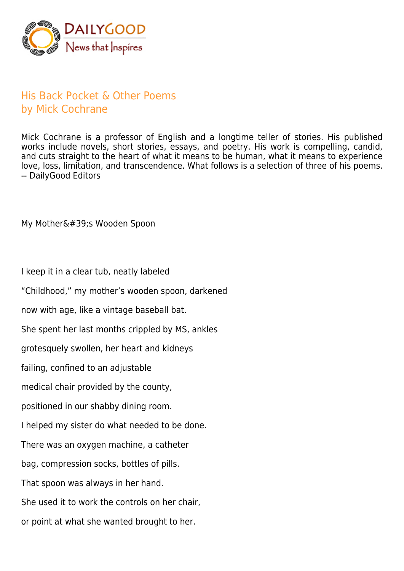

## His Back Pocket & Other Poems by Mick Cochrane

Mick Cochrane is a professor of English and a longtime teller of stories. His published works include novels, short stories, essays, and poetry. His work is compelling, candid, and cuts straight to the heart of what it means to be human, what it means to experience love, loss, limitation, and transcendence. What follows is a selection of three of his poems. -- DailyGood Editors

My Mother's Wooden Spoon

I keep it in a clear tub, neatly labeled

"Childhood," my mother's wooden spoon, darkened

now with age, like a vintage baseball bat.

She spent her last months crippled by MS, ankles

grotesquely swollen, her heart and kidneys

failing, confined to an adjustable

medical chair provided by the county,

positioned in our shabby dining room.

I helped my sister do what needed to be done.

There was an oxygen machine, a catheter

bag, compression socks, bottles of pills.

That spoon was always in her hand.

She used it to work the controls on her chair,

or point at what she wanted brought to her.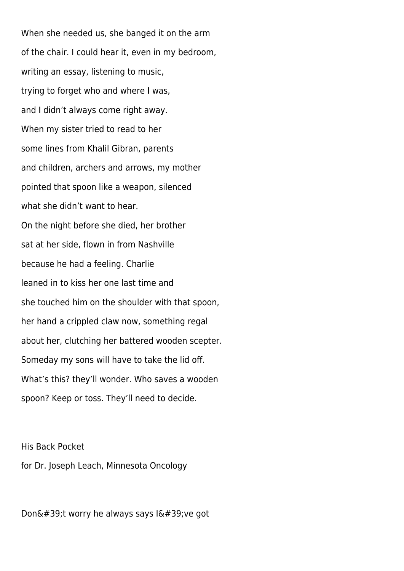When she needed us, she banged it on the arm of the chair. I could hear it, even in my bedroom, writing an essay, listening to music, trying to forget who and where I was, and I didn't always come right away. When my sister tried to read to her some lines from Khalil Gibran, parents and children, archers and arrows, my mother pointed that spoon like a weapon, silenced what she didn't want to hear. On the night before she died, her brother sat at her side, flown in from Nashville because he had a feeling. Charlie leaned in to kiss her one last time and she touched him on the shoulder with that spoon, her hand a crippled claw now, something regal about her, clutching her battered wooden scepter. Someday my sons will have to take the lid off. What's this? they'll wonder. Who saves a wooden spoon? Keep or toss. They'll need to decide.

His Back Pocket for Dr. Joseph Leach, Minnesota Oncology

Don't worry he always says I've got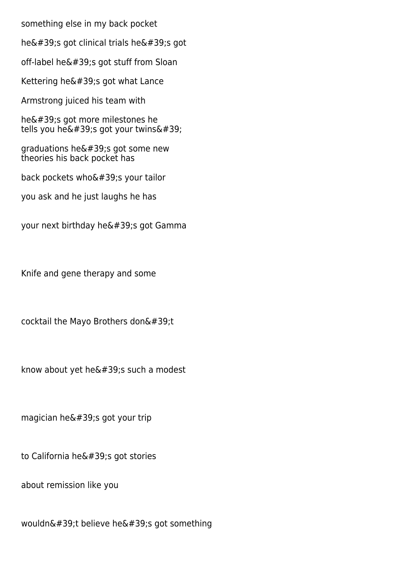something else in my back pocket

he $&$ #39;s got clinical trials he $&$ #39;s got

off-label he $'$ ; got stuff from Sloan

Kettering he $'$ ; got what Lance

Armstrong juiced his team with

he's got more milestones he tells you he $'$ ; got your twins $'$ ;

graduations he $'$ ; got some new theories his back pocket has

back pockets who's your tailor

you ask and he just laughs he has

your next birthday he's got Gamma

Knife and gene therapy and some

cocktail the Mayo Brothers don $\&\#39$ ;t

know about yet he $'$ ; such a modest

magician he $'$ ; got your trip

to California he $'$ ; got stories

about remission like you

wouldn't believe he's got something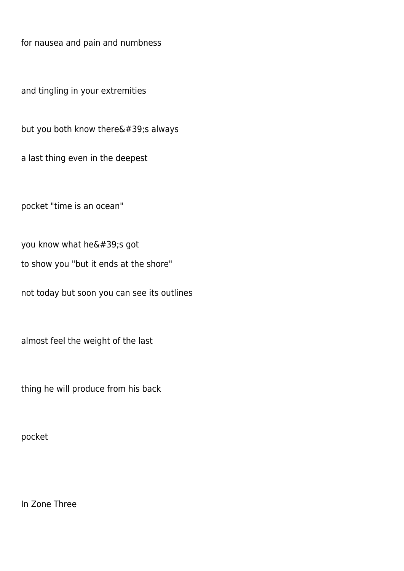for nausea and pain and numbness

and tingling in your extremities

but you both know there $'$ ;s always

a last thing even in the deepest

pocket "time is an ocean"

you know what he's got

to show you "but it ends at the shore"

not today but soon you can see its outlines

almost feel the weight of the last

thing he will produce from his back

pocket

In Zone Three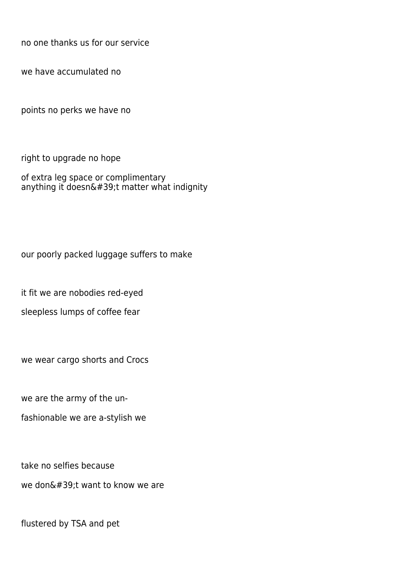no one thanks us for our service

we have accumulated no

points no perks we have no

right to upgrade no hope

of extra leg space or complimentary anything it doesn't matter what indignity

our poorly packed luggage suffers to make

it fit we are nobodies red-eyed

sleepless lumps of coffee fear

we wear cargo shorts and Crocs

we are the army of the un-

fashionable we are a-stylish we

take no selfies because we don $'$ ; want to know we are

flustered by TSA and pet